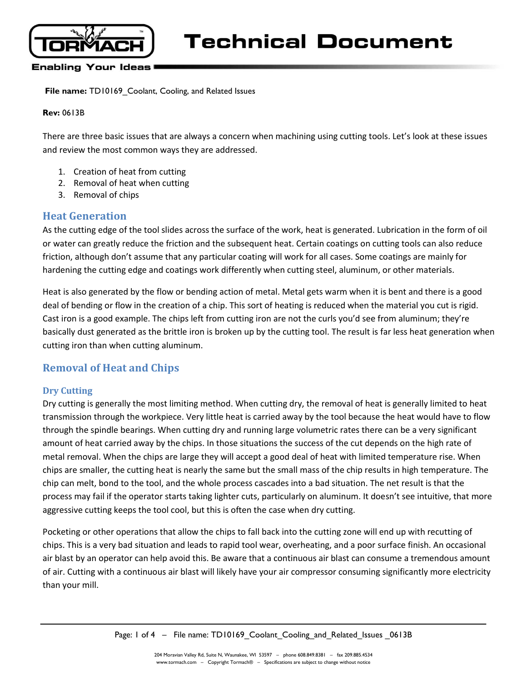

#### **Enabling Your Ideas**

**File name:** TD10169 Coolant, Cooling, and Related Issues

#### **Rev:** 0613B

There are three basic issues that are always a concern when machining using cutting tools. Let's look at these issues and review the most common ways they are addressed.

- 1. Creation of heat from cutting
- 2. Removal of heat when cutting
- 3. Removal of chips

### **Heat Generation**

As the cutting edge of the tool slides across the surface of the work, heat is generated. Lubrication in the form of oil or water can greatly reduce the friction and the subsequent heat. Certain coatings on cutting tools can also reduce friction, although don't assume that any particular coating will work for all cases. Some coatings are mainly for hardening the cutting edge and coatings work differently when cutting steel, aluminum, or other materials.

Heat is also generated by the flow or bending action of metal. Metal gets warm when it is bent and there is a good deal of bending or flow in the creation of a chip. This sort of heating is reduced when the material you cut is rigid. Cast iron is a good example. The chips left from cutting iron are not the curls you'd see from aluminum; they're basically dust generated as the brittle iron is broken up by the cutting tool. The result is far less heat generation when cutting iron than when cutting aluminum.

## **Removal of Heat and Chips**

#### **Dry Cutting**

Dry cutting is generally the most limiting method. When cutting dry, the removal of heat is generally limited to heat transmission through the workpiece. Very little heat is carried away by the tool because the heat would have to flow through the spindle bearings. When cutting dry and running large volumetric rates there can be a very significant amount of heat carried away by the chips. In those situations the success of the cut depends on the high rate of metal removal. When the chips are large they will accept a good deal of heat with limited temperature rise. When chips are smaller, the cutting heat is nearly the same but the small mass of the chip results in high temperature. The chip can melt, bond to the tool, and the whole process cascades into a bad situation. The net result is that the process may fail if the operator starts taking lighter cuts, particularly on aluminum. It doesn't see intuitive, that more aggressive cutting keeps the tool cool, but this is often the case when dry cutting.

Pocketing or other operations that allow the chips to fall back into the cutting zone will end up with recutting of chips. This is a very bad situation and leads to rapid tool wear, overheating, and a poor surface finish. An occasional air blast by an operator can help avoid this. Be aware that a continuous air blast can consume a tremendous amount of air. Cutting with a continuous air blast will likely have your air compressor consuming significantly more electricity than your mill.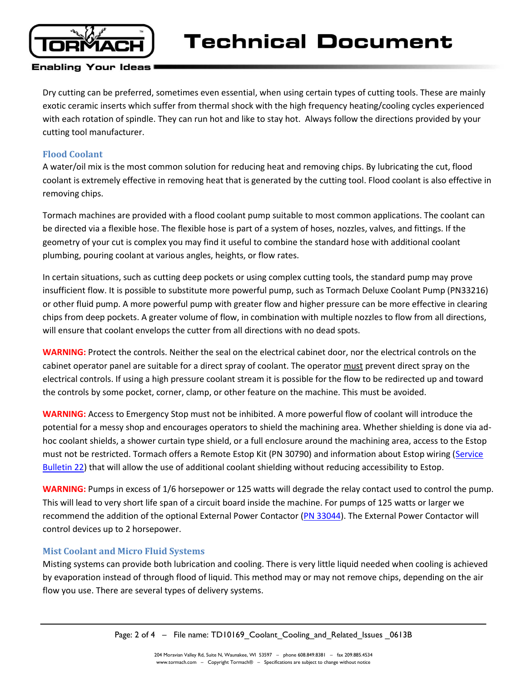

#### **Enabling Your Ideas**

Dry cutting can be preferred, sometimes even essential, when using certain types of cutting tools. These are mainly exotic ceramic inserts which suffer from thermal shock with the high frequency heating/cooling cycles experienced with each rotation of spindle. They can run hot and like to stay hot. Always follow the directions provided by your cutting tool manufacturer.

### **Flood Coolant**

A water/oil mix is the most common solution for reducing heat and removing chips. By lubricating the cut, flood coolant is extremely effective in removing heat that is generated by the cutting tool. Flood coolant is also effective in removing chips.

Tormach machines are provided with a flood coolant pump suitable to most common applications. The coolant can be directed via a flexible hose. The flexible hose is part of a system of hoses, nozzles, valves, and fittings. If the geometry of your cut is complex you may find it useful to combine the standard hose with additional coolant plumbing, pouring coolant at various angles, heights, or flow rates.

In certain situations, such as cutting deep pockets or using complex cutting tools, the standard pump may prove insufficient flow. It is possible to substitute more powerful pump, such as Tormach Deluxe Coolant Pump (PN33216) or other fluid pump. A more powerful pump with greater flow and higher pressure can be more effective in clearing chips from deep pockets. A greater volume of flow, in combination with multiple nozzles to flow from all directions, will ensure that coolant envelops the cutter from all directions with no dead spots.

**WARNING:** Protect the controls. Neither the seal on the electrical cabinet door, nor the electrical controls on the cabinet operator panel are suitable for a direct spray of coolant. The operator must prevent direct spray on the electrical controls. If using a high pressure coolant stream it is possible for the flow to be redirected up and toward the controls by some pocket, corner, clamp, or other feature on the machine. This must be avoided.

**WARNING:** Access to Emergency Stop must not be inhibited. A more powerful flow of coolant will introduce the potential for a messy shop and encourages operators to shield the machining area. Whether shielding is done via adhoc coolant shields, a shower curtain type shield, or a full enclosure around the machining area, access to the Estop must not be restricted. Tormach offers a Remote Estop Kit (PN 30790) and information about Estop wiring (Service [Bulletin 22\)](http://www.tormach.com/uploads/80/SB0022_Estops-pdf.html) that will allow the use of additional coolant shielding without reducing accessibility to Estop.

**WARNING:** Pumps in excess of 1/6 horsepower or 125 watts will degrade the relay contact used to control the pump. This will lead to very short life span of a circuit board inside the machine. For pumps of 125 watts or larger we recommend the addition of the optional External Power Contactor [\(PN 33044\)](http://www.tormach.com/store/index.php?app=ecom&ns=prodshow&ref=33044). The External Power Contactor will control devices up to 2 horsepower.

### **Mist Coolant and Micro Fluid Systems**

Misting systems can provide both lubrication and cooling. There is very little liquid needed when cooling is achieved by evaporation instead of through flood of liquid. This method may or may not remove chips, depending on the air flow you use. There are several types of delivery systems.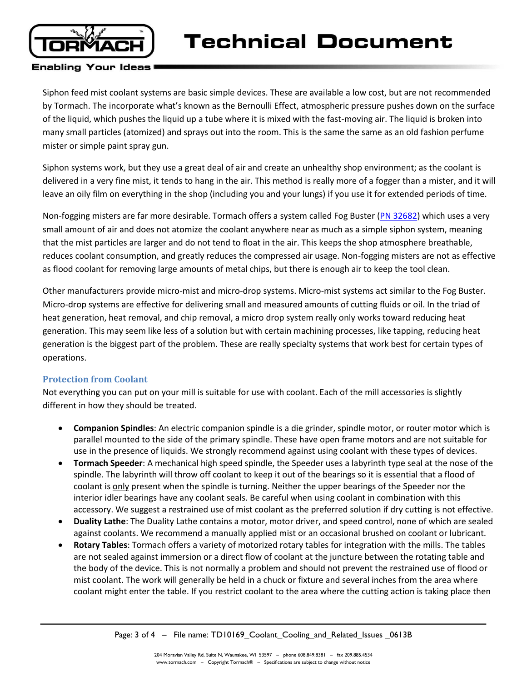

### **Enabling Your Ideas**

Siphon feed mist coolant systems are basic simple devices. These are available a low cost, but are not recommended by Tormach. The incorporate what's known as the Bernoulli Effect, atmospheric pressure pushes down on the surface of the liquid, which pushes the liquid up a tube where it is mixed with the fast-moving air. The liquid is broken into many small particles (atomized) and sprays out into the room. This is the same the same as an old fashion perfume mister or simple paint spray gun.

Siphon systems work, but they use a great deal of air and create an unhealthy shop environment; as the coolant is delivered in a very fine mist, it tends to hang in the air. This method is really more of a fogger than a mister, and it will leave an oily film on everything in the shop (including you and your lungs) if you use it for extended periods of time.

Non-fogging misters are far more desirable. Tormach offers a system called Fog Buster [\(PN 32682\)](http://www.tormach.com/store/index.php?app=ecom&ns=prodshow&ref=32682) which uses a very small amount of air and does not atomize the coolant anywhere near as much as a simple siphon system, meaning that the mist particles are larger and do not tend to float in the air. This keeps the shop atmosphere breathable, reduces coolant consumption, and greatly reduces the compressed air usage. Non-fogging misters are not as effective as flood coolant for removing large amounts of metal chips, but there is enough air to keep the tool clean.

Other manufacturers provide micro-mist and micro-drop systems. Micro-mist systems act similar to the Fog Buster. Micro-drop systems are effective for delivering small and measured amounts of cutting fluids or oil. In the triad of heat generation, heat removal, and chip removal, a micro drop system really only works toward reducing heat generation. This may seem like less of a solution but with certain machining processes, like tapping, reducing heat generation is the biggest part of the problem. These are really specialty systems that work best for certain types of operations.

### **Protection from Coolant**

Not everything you can put on your mill is suitable for use with coolant. Each of the mill accessories is slightly different in how they should be treated.

- **Companion Spindles**: An electric companion spindle is a die grinder, spindle motor, or router motor which is parallel mounted to the side of the primary spindle. These have open frame motors and are not suitable for use in the presence of liquids. We strongly recommend against using coolant with these types of devices.
- **Tormach Speeder**: A mechanical high speed spindle, the Speeder uses a labyrinth type seal at the nose of the spindle. The labyrinth will throw off coolant to keep it out of the bearings so it is essential that a flood of coolant is only present when the spindle is turning. Neither the upper bearings of the Speeder nor the interior idler bearings have any coolant seals. Be careful when using coolant in combination with this accessory. We suggest a restrained use of mist coolant as the preferred solution if dry cutting is not effective.
- **Duality Lathe**: The Duality Lathe contains a motor, motor driver, and speed control, none of which are sealed against coolants. We recommend a manually applied mist or an occasional brushed on coolant or lubricant.
- **Rotary Tables**: Tormach offers a variety of motorized rotary tables for integration with the mills. The tables are not sealed against immersion or a direct flow of coolant at the juncture between the rotating table and the body of the device. This is not normally a problem and should not prevent the restrained use of flood or mist coolant. The work will generally be held in a chuck or fixture and several inches from the area where coolant might enter the table. If you restrict coolant to the area where the cutting action is taking place then